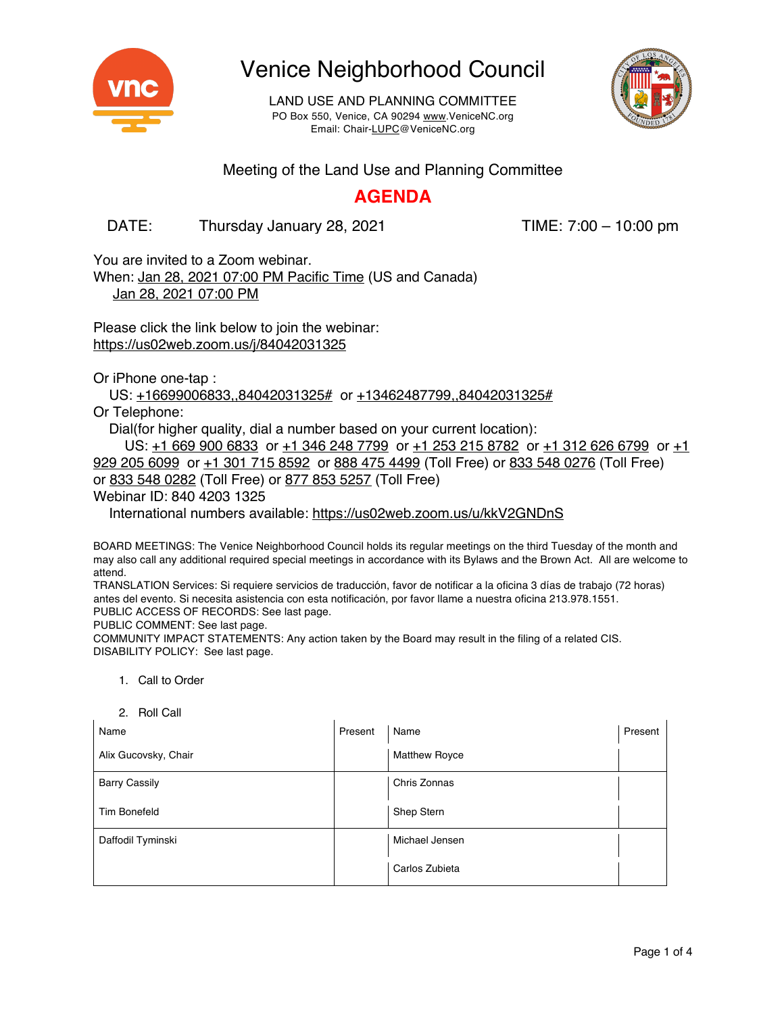

LAND USE AND PLANNING COMMITTEE PO Box 550, Venice, CA 90294 www.VeniceNC.org Email: Chair-LUPC@VeniceNC.org



Meeting of the Land Use and Planning Committee

#### **AGENDA**

DATE: Thursday January 28, 2021 TIME: 7:00 – 10:00 pm

You are invited to a Zoom webinar. When: Jan 28, 2021 07:00 PM Pacific Time (US and Canada)

Jan 28, 2021 07:00 PM

Please click the link below to join the webinar: https://us02web.zoom.us/j/84042031325

Or iPhone one-tap :

US: +16699006833,,84042031325# or +13462487799,,84042031325#

Or Telephone:

Dial(for higher quality, dial a number based on your current location):

US: +1 669 900 6833 or +1 346 248 7799 or +1 253 215 8782 or +1 312 626 6799 or +1 929 205 6099 or +1 301 715 8592 or 888 475 4499 (Toll Free) or 833 548 0276 (Toll Free) or 833 548 0282 (Toll Free) or 877 853 5257 (Toll Free)

Webinar ID: 840 4203 1325

International numbers available: https://us02web.zoom.us/u/kkV2GNDnS

BOARD MEETINGS: The Venice Neighborhood Council holds its regular meetings on the third Tuesday of the month and may also call any additional required special meetings in accordance with its Bylaws and the Brown Act. All are welcome to attend.

TRANSLATION Services: Si requiere servicios de traducción, favor de notificar a la oficina 3 días de trabajo (72 horas) antes del evento. Si necesita asistencia con esta notificación, por favor llame a nuestra oficina 213.978.1551. PUBLIC ACCESS OF RECORDS: See last page.

PUBLIC COMMENT: See last page.

COMMUNITY IMPACT STATEMENTS: Any action taken by the Board may result in the filing of a related CIS. DISABILITY POLICY: See last page.

- 1. Call to Order
- 2. Roll Call

| Name                 | Present | Name                 | Present |
|----------------------|---------|----------------------|---------|
| Alix Gucovsky, Chair |         | <b>Matthew Royce</b> |         |
| <b>Barry Cassily</b> |         | Chris Zonnas         |         |
| <b>Tim Bonefeld</b>  |         | Shep Stern           |         |
| Daffodil Tyminski    |         | Michael Jensen       |         |
|                      |         | Carlos Zubieta       |         |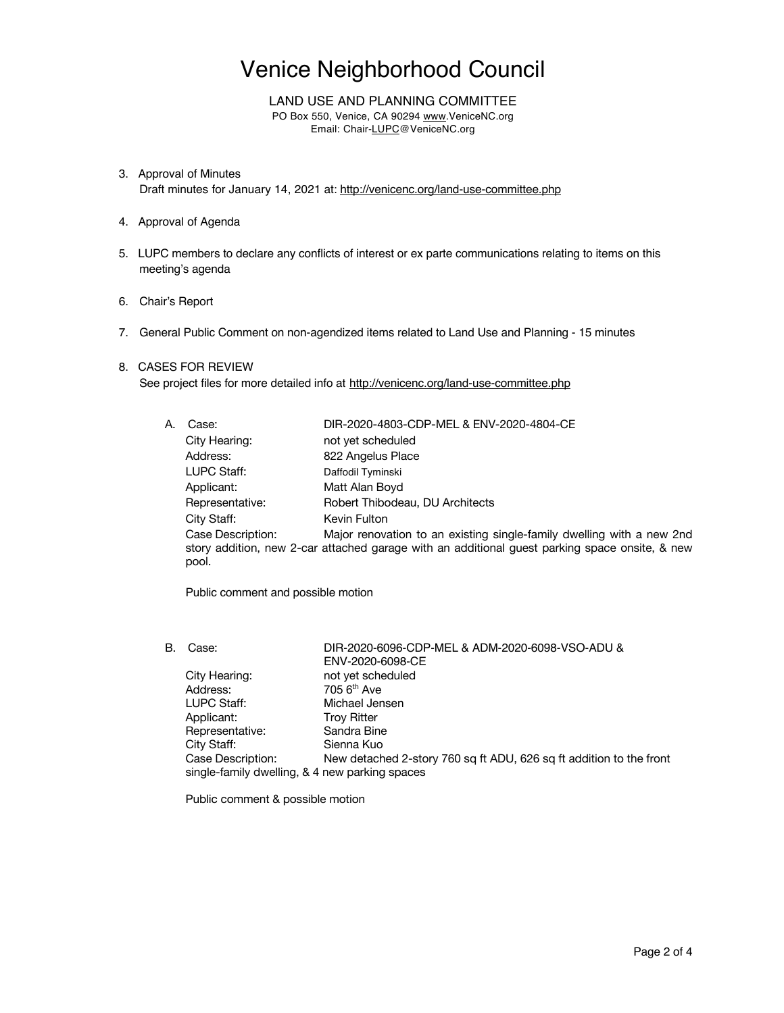LAND USE AND PLANNING COMMITTEE PO Box 550, Venice, CA 90294 www.VeniceNC.org Email: Chair-LUPC@VeniceNC.org

- 3. Approval of Minutes Draft minutes for January 14, 2021 at: http://venicenc.org/land-use-committee.php
- 4. Approval of Agenda
- 5. LUPC members to declare any conflicts of interest or ex parte communications relating to items on this meeting's agenda
- 6. Chair's Report
- 7. General Public Comment on non-agendized items related to Land Use and Planning 15 minutes
- 8. CASES FOR REVIEW

See project files for more detailed info at http://venicenc.org/land-use-committee.php

| А. | Case:                      | DIR-2020-4803-CDP-MEL & ENV-2020-4804-CE                                                                                                                                |
|----|----------------------------|-------------------------------------------------------------------------------------------------------------------------------------------------------------------------|
|    | City Hearing:              | not yet scheduled                                                                                                                                                       |
|    | Address:                   | 822 Angelus Place                                                                                                                                                       |
|    | LUPC Staff:                | Daffodil Tyminski                                                                                                                                                       |
|    | Applicant:                 | Matt Alan Boyd                                                                                                                                                          |
|    | Representative:            | Robert Thibodeau, DU Architects                                                                                                                                         |
|    | City Staff:                | Kevin Fulton                                                                                                                                                            |
|    | Case Description:<br>pool. | Major renovation to an existing single-family dwelling with a new 2nd<br>story addition, new 2-car attached garage with an additional guest parking space onsite, & new |

Public comment and possible motion

B. Case: DIR-2020-6096-CDP-MEL & ADM-2020-6098-VSO-ADU & ENV-2020-6098-CE City Hearing: not yet scheduled<br>Address: 705 6<sup>th</sup> Ave 705 6<sup>th</sup> Ave LUPC Staff:<br>
Applicant: Troy Ritter Troy Ritter<br>Sandra Bine Representative: City Staff: Sienna Kuo Case Description: New detached 2-story 760 sq ft ADU, 626 sq ft addition to the front

single-family dwelling, & 4 new parking spaces

Public comment & possible motion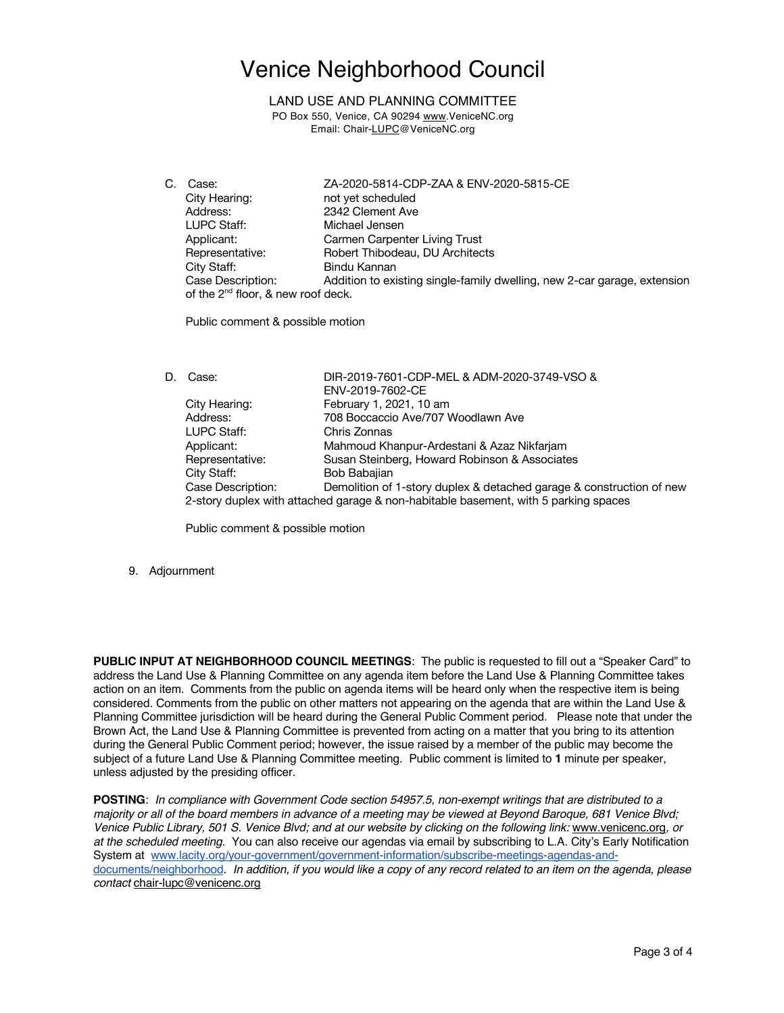LAND USE AND PLANNING COMMITTEE

PO Box 550, Venice, CA 90294 www.VeniceNC.org Email: Chair-LUPC@VeniceNC.org

C. Case: ZA-2020-5814-CDP-ZAA & ENV-2020-5815-CE City Hearing: not yet scheduled Address: 2342 Clement Ave<br>1 UPC Staff: Michael Jensen Michael Jensen Applicant: Carmen Carpenter Living Trust Representative: Robert Thibodeau, DU Architects City Staff: Bindu Kannan Case Description: Addition to existing single-family dwelling, new 2-car garage, extension of the 2<sup>nd</sup> floor, & new roof deck.

Public comment & possible motion

| D. | Case:             | DIR-2019-7601-CDP-MEL & ADM-2020-3749-VSO &                                         |
|----|-------------------|-------------------------------------------------------------------------------------|
|    |                   | ENV-2019-7602-CE                                                                    |
|    | City Hearing:     | February 1, 2021, 10 am                                                             |
|    | Address:          | 708 Boccaccio Ave/707 Woodlawn Ave                                                  |
|    | LUPC Staff:       | Chris Zonnas                                                                        |
|    | Applicant:        | Mahmoud Khanpur-Ardestani & Azaz Nikfarjam                                          |
|    | Representative:   | Susan Steinberg, Howard Robinson & Associates                                       |
|    | City Staff:       | Bob Babajian                                                                        |
|    | Case Description: | Demolition of 1-story duplex & detached garage & construction of new                |
|    |                   | 2-story duplex with attached garage & non-habitable basement, with 5 parking spaces |

Public comment & possible motion

9. Adjournment

**PUBLIC INPUT AT NEIGHBORHOOD COUNCIL MEETINGS**: The public is requested to fill out a "Speaker Card" to address the Land Use & Planning Committee on any agenda item before the Land Use & Planning Committee takes action on an item. Comments from the public on agenda items will be heard only when the respective item is being considered. Comments from the public on other matters not appearing on the agenda that are within the Land Use & Planning Committee jurisdiction will be heard during the General Public Comment period. Please note that under the Brown Act, the Land Use & Planning Committee is prevented from acting on a matter that you bring to its attention during the General Public Comment period; however, the issue raised by a member of the public may become the subject of a future Land Use & Planning Committee meeting. Public comment is limited to **1** minute per speaker, unless adjusted by the presiding officer.

**POSTING**: *In compliance with Government Code section 54957.5, non-exempt writings that are distributed to a* majority or all of the board members in advance of a meeting may be viewed at Beyond Baroque, 681 Venice Blvd; Venice Public Library, 501 S. Venice Blvd; and at our website by clicking on the following link: www.venicenc.org, or *at the scheduled meeting.* You can also receive our agendas via email by subscribing to L.A. City's Early Notification System at www.lacity.org/your-government/government-information/subscribe-meetings-agendas-anddocuments/neighborhood. In addition, if you would like a copy of any record related to an item on the agenda, please *contact* chair-lupc@venicenc.org